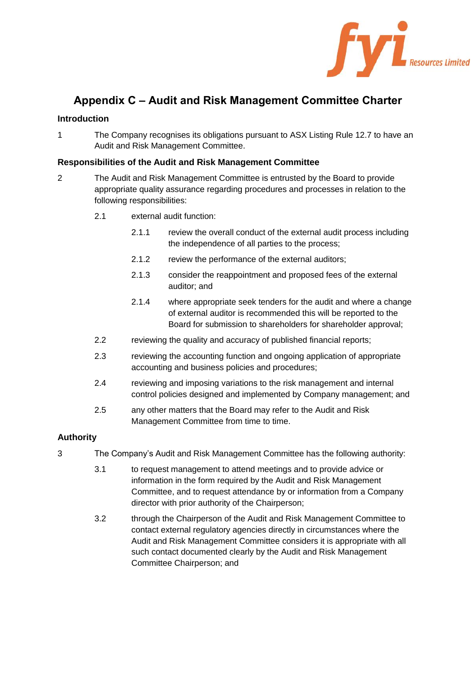

# **Appendix C – Audit and Risk Management Committee Charter**

## **Introduction**

1 The Company recognises its obligations pursuant to ASX Listing Rule 12.7 to have an Audit and Risk Management Committee.

## **Responsibilities of the Audit and Risk Management Committee**

- 2 The Audit and Risk Management Committee is entrusted by the Board to provide appropriate quality assurance regarding procedures and processes in relation to the following responsibilities:
	- 2.1 external audit function:
		- 2.1.1 review the overall conduct of the external audit process including the independence of all parties to the process;
		- 2.1.2 review the performance of the external auditors;
		- 2.1.3 consider the reappointment and proposed fees of the external auditor; and
		- 2.1.4 where appropriate seek tenders for the audit and where a change of external auditor is recommended this will be reported to the Board for submission to shareholders for shareholder approval;
	- 2.2 reviewing the quality and accuracy of published financial reports;
	- 2.3 reviewing the accounting function and ongoing application of appropriate accounting and business policies and procedures;
	- 2.4 reviewing and imposing variations to the risk management and internal control policies designed and implemented by Company management; and
	- 2.5 any other matters that the Board may refer to the Audit and Risk Management Committee from time to time.

## **Authority**

- 3 The Company's Audit and Risk Management Committee has the following authority:
	- 3.1 to request management to attend meetings and to provide advice or information in the form required by the Audit and Risk Management Committee, and to request attendance by or information from a Company director with prior authority of the Chairperson;
	- 3.2 through the Chairperson of the Audit and Risk Management Committee to contact external regulatory agencies directly in circumstances where the Audit and Risk Management Committee considers it is appropriate with all such contact documented clearly by the Audit and Risk Management Committee Chairperson; and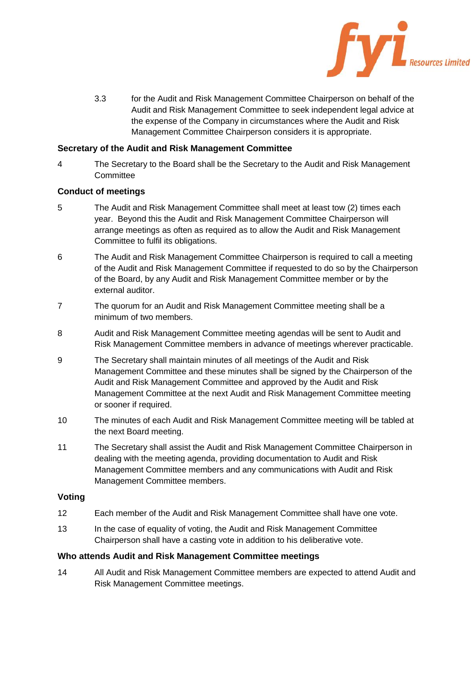

3.3 for the Audit and Risk Management Committee Chairperson on behalf of the Audit and Risk Management Committee to seek independent legal advice at the expense of the Company in circumstances where the Audit and Risk Management Committee Chairperson considers it is appropriate.

#### **Secretary of the Audit and Risk Management Committee**

4 The Secretary to the Board shall be the Secretary to the Audit and Risk Management **Committee** 

#### **Conduct of meetings**

- 5 The Audit and Risk Management Committee shall meet at least tow (2) times each year. Beyond this the Audit and Risk Management Committee Chairperson will arrange meetings as often as required as to allow the Audit and Risk Management Committee to fulfil its obligations.
- 6 The Audit and Risk Management Committee Chairperson is required to call a meeting of the Audit and Risk Management Committee if requested to do so by the Chairperson of the Board, by any Audit and Risk Management Committee member or by the external auditor.
- 7 The quorum for an Audit and Risk Management Committee meeting shall be a minimum of two members.
- 8 Audit and Risk Management Committee meeting agendas will be sent to Audit and Risk Management Committee members in advance of meetings wherever practicable.
- 9 The Secretary shall maintain minutes of all meetings of the Audit and Risk Management Committee and these minutes shall be signed by the Chairperson of the Audit and Risk Management Committee and approved by the Audit and Risk Management Committee at the next Audit and Risk Management Committee meeting or sooner if required.
- 10 The minutes of each Audit and Risk Management Committee meeting will be tabled at the next Board meeting.
- 11 The Secretary shall assist the Audit and Risk Management Committee Chairperson in dealing with the meeting agenda, providing documentation to Audit and Risk Management Committee members and any communications with Audit and Risk Management Committee members.

#### **Voting**

- 12 Each member of the Audit and Risk Management Committee shall have one vote.
- 13 In the case of equality of voting, the Audit and Risk Management Committee Chairperson shall have a casting vote in addition to his deliberative vote.

#### **Who attends Audit and Risk Management Committee meetings**

14 All Audit and Risk Management Committee members are expected to attend Audit and Risk Management Committee meetings.